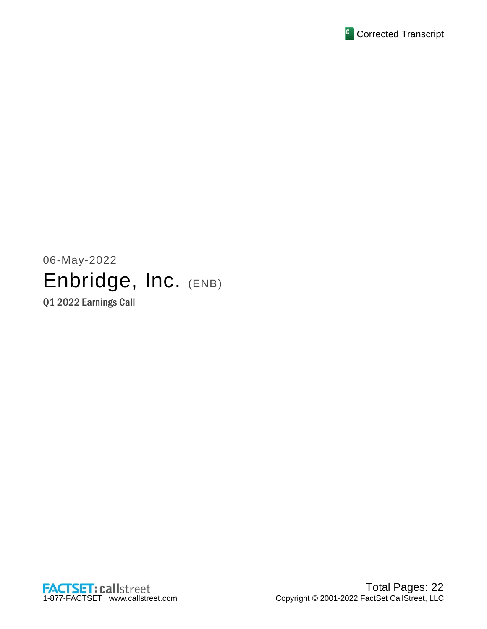

06-May-2022 Enbridge, Inc. (ENB) Q1 2022 Earnings Call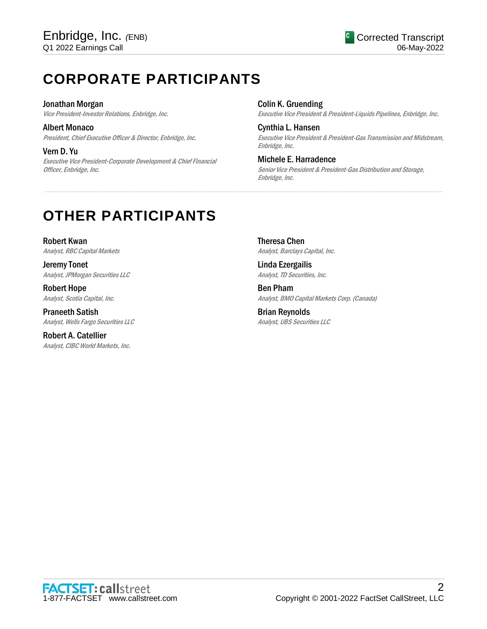# **CORPORATE PARTICIPANTS**

### Jonathan Morgan

Vice President-Investor Relations, Enbridge, Inc.

Albert Monaco President, Chief Executive Officer & Director, Enbridge, Inc.

Vern D. Yu Executive Vice President-Corporate Development & Chief Financial Officer, Enbridge, Inc.

Colin K. Gruending Executive Vice President & President-Liquids Pipelines, Enbridge, Inc.

Cynthia L. Hansen Executive Vice President & President-Gas Transmission and Midstream, Enbridge, Inc.

Michele E. Harradence Senior Vice President & President-Gas Distribution and Storage, Enbridge, Inc.

# **OTHER PARTICIPANTS**

Robert Kwan Analyst, RBC Capital Markets

Jeremy Tonet Analyst, JPMorgan Securities LLC

Robert Hope Analyst, Scotia Capital, Inc.

Praneeth Satish Analyst, Wells Fargo Securities LLC

Robert A. Catellier Analyst, CIBC World Markets, Inc. Theresa Chen Analyst, Barclays Capital, Inc.

.....................................................................................................................................................................................................................................................................

Linda Ezergailis Analyst, TD Securities, Inc.

Ben Pham Analyst, BMO Capital Markets Corp. (Canada)

Brian Reynolds Analyst, UBS Securities LLC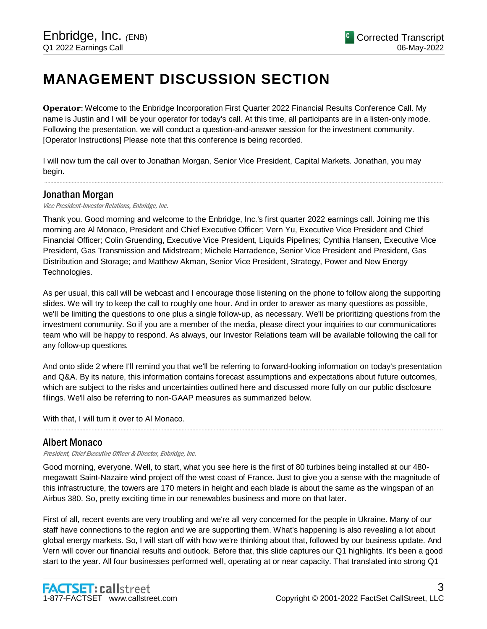# **MANAGEMENT DISCUSSION SECTION**

**Operator**: Welcome to the Enbridge Incorporated First Quarter 2022 Financial Results Conference Call. My name is Justin and I will be your operator for today's call. At this time, all participants are in a listen-only mode. Following the presentation, we will conduct a question-and-answer session for the investment community. [Operator Instructions] Please note that this conference is being recorded.

I will now turn the call over to Jonathan Morgan, Senior Vice President, Capital Markets. Jonathan, you may begin.

.....................................................................................................................................................................................................................................................................

# Jonathan Morgan

#### Vice President-Investor Relations, Enbridge, Inc.

Thank you. Good morning and welcome to the Enbridge, Inc.'s first quarter 2022 earnings call. Joining me this morning are Al Monaco, President and Chief Executive Officer; Vern Yu, Executive Vice President and Chief Financial Officer; Colin Gruending, Executive Vice President, Liquids Pipelines; Cynthia Hansen, Executive Vice President, Gas Transmission and Midstream; Michele Harradence, Senior Vice President and President, Gas Distribution and Storage; and Matthew Akman, Senior Vice President, Strategy, Power and New Energy Technologies.

As per usual, this call will be webcast and I encourage those listening on the phone to follow along the supporting slides. We will try to keep the call to roughly one hour. And in order to answer as many questions as possible, we'll be limiting the questions to one plus a single follow-up, as necessary. We'll be prioritizing questions from the investment community. So if you are a member of the media, please direct your inquiries to our communications team who will be happy to respond. As always, our Investor Relations team will be available following the call for any follow-up questions.

And onto slide 2 where I'll remind you that we'll be referring to forward-looking information on today's presentation and Q&A. By its nature, this information contains forecast assumptions and expectations about future outcomes, which are subject to the risks and uncertainties outlined here and discussed more fully on our public disclosure filings. We'll also be referring to non-GAAP measures as summarized below.

.....................................................................................................................................................................................................................................................................

With that, I will turn it over to Al Monaco.

# Albert Monaco

President, Chief Executive Officer & Director, Enbridge, Inc.

Good morning, everyone. Well, to start, what you see here is the first of 80 turbines being installed at our 480 megawatt Saint-Nazaire wind project off the west coast of France. Just to give you a sense with the magnitude of this infrastructure, the towers are 170 meters in height and each blade is about the same as the wingspan of an Airbus 380. So, pretty exciting time in our renewables business and more on that later.

First of all, recent events are very troubling and we're all very concerned for the people in Ukraine. Many of our staff have connections to the region and we are supporting them. What's happening is also revealing a lot about global energy markets. So, I will start off with how we're thinking about that, followed by our business update. And Vern will cover our financial results and outlook. Before that, this slide captures our Q1 highlights. It's been a good start to the year. All four businesses performed well, operating at or near capacity. That translated into strong Q1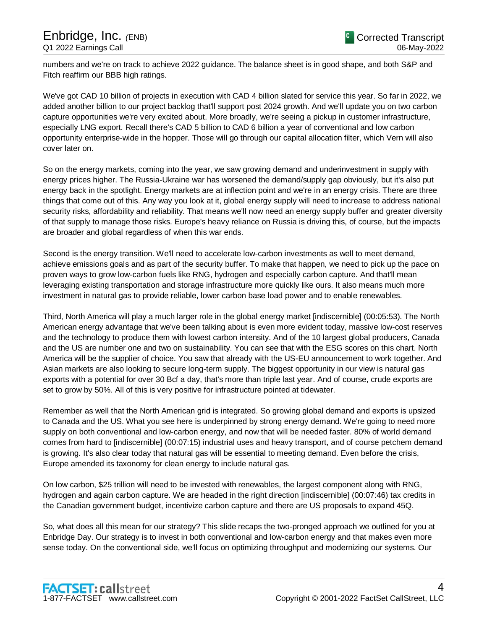numbers and we're on track to achieve 2022 guidance. The balance sheet is in good shape, and both S&P and Fitch reaffirm our BBB high ratings.

We've got CAD 10 billion of projects in execution with CAD 4 billion slated for service this year. So far in 2022, we added another billion to our project backlog that'll support post 2024 growth. And we'll update you on two carbon capture opportunities we're very excited about. More broadly, we're seeing a pickup in customer infrastructure, especially LNG export. Recall there's CAD 5 billion to CAD 6 billion a year of conventional and low carbon opportunity enterprise-wide in the hopper. Those will go through our capital allocation filter, which Vern will also cover later on.

So on the energy markets, coming into the year, we saw growing demand and underinvestment in supply with energy prices higher. The Russia-Ukraine war has worsened the demand/supply gap obviously, but it's also put energy back in the spotlight. Energy markets are at inflection point and we're in an energy crisis. There are three things that come out of this. Any way you look at it, global energy supply will need to increase to address national security risks, affordability and reliability. That means we'll now need an energy supply buffer and greater diversity of that supply to manage those risks. Europe's heavy reliance on Russia is driving this, of course, but the impacts are broader and global regardless of when this war ends.

Second is the energy transition. We'll need to accelerate low-carbon investments as well to meet demand, achieve emissions goals and as part of the security buffer. To make that happen, we need to pick up the pace on proven ways to grow low-carbon fuels like RNG, hydrogen and especially carbon capture. And that'll mean leveraging existing transportation and storage infrastructure more quickly like ours. It also means much more investment in natural gas to provide reliable, lower carbon base load power and to enable renewables.

Third, North America will play a much larger role in the global energy market and here's why. The North American energy advantage that we've been talking about is even more evident today, massive low-cost reserves and the technology to produce them with lowest carbon intensity. And of the 10 largest global producers, Canada and the US are number one and two on sustainability. You can see that with the ESG scores on this chart. North America will be the supplier of choice. You saw that already with the US-EU announcement to work together. And Asian markets are also looking to secure long-term supply. The biggest opportunity in our view is natural gas exports with a potential for over 30 Bcf a day, that's more than triple last year. And of course, crude exports are set to grow by 50%. All of this is very positive for infrastructure pointed at tidewater.

Remember as well that the North American grid is integrated. So growing global demand and exports is upside to Canada and the US. What you see here is underpinned by strong energy demand. We're going to need more supply on both conventional and low-carbon energy, and now that will be needed faster. 80% of world demand comes from hard to abate industrial uses and heavy transport, and of course petchem demand is growing. It's also clear today that natural gas will be essential to meeting demand. Even before the crisis, Europe amended its taxonomy for clean energy to include natural gas.

On low carbon, \$25 trillion will need to be invested with renewables, the largest component along with RNG, hydrogen and again carbon capture. We are headed in the right direction on the tax credits in the Canadian government budget, incentivized carbon capture and there are US proposals to expand 45Q.

So, what does all this mean for our strategy? This slide recaps the two-pronged approach we outlined for you at Enbridge Day. Our strategy is to invest in both conventional and low-carbon energy and that makes even more sense today. On the conventional side, we'll focus on optimizing throughput and modernizing our systems. Our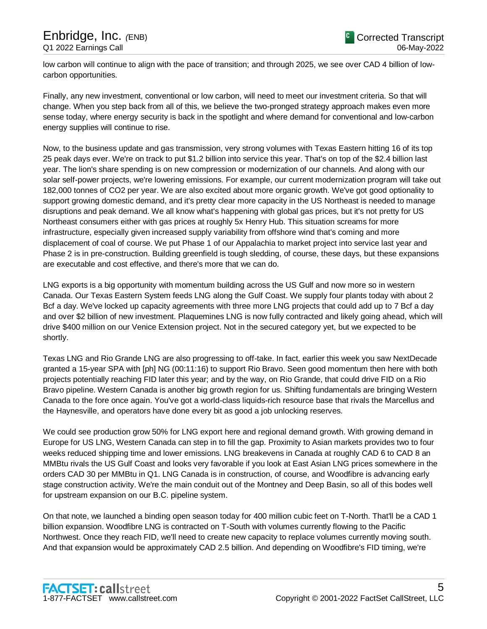low carbon will continue to align with the pace of transition; and through 2025, we see over CAD 4 billion of lowcarbon opportunities.

Finally, any new investment, conventional or low carbon, will need to meet our investment criteria. So that won't change. When you step back from all of this, we believe the two-pronged strategy approach makes even more sense today, where energy security is back in the spotlight and where demand for conventional and low-carbon energy supplies will continue to rise.

Now, to the business update and gas transmission, very strong volumes with Texas Eastern hitting 16 of its top 25 peak days ever. We're on track to put \$1.2 billion into service this year. That's on top of the \$2.4 billion last year. The lion's share spending is on new compression or modernization more generally. And along with our solar self-power projects, we're lowering emissions. For example, our current modernization program will take out 182,000 tonnes of CO2 per year. We are also excited about more organic growth. We've got good optionality to support growing domestic demand, and it's pretty clear more capacity in the US Northeast is needed to manage disruptions and peak demand. We all know what's happening with global gas prices, but it's not pretty for US Northeast consumers either with gas prices at roughly 5x Henry Hub. This situation screams for more infrastructure, especially given increased supply variability from offshore wind that's coming and more displacement of coal of course. We put Phase 1 of our Appalachia to market project into service last year and Phase 2 is in pre-construction. Building greenfield is tough sledding, of course, these days, but these expansions are executable and cost effective, and there's more that we can do.

LNG exports is a big opportunity with momentum building across the US Gulf and now more so in western Canada. Our Texas Eastern System feeds LNG along the Gulf Coast. We supply four plants today with about 2 Bcf a day. We've locked up capacity agreements with three more LNG projects that could add up to 7 Bcf a day and over \$2 billion of new investment. Plaquemines LNG is now fully contracted and likely going ahead, which will drive \$400 million on our Venice Extension project. Not in the secured category yet, but we expected to be shortly.

Texas LNG and Rio Grande LNG are also progressing to off-take. In fact, earlier this week you saw NextDecade granted a 15-year SPA with Engie to support Rio Bravo. Seeing good momentum then here with both projects potentially reaching FID later this year; and by the way, on Rio Grande, that could drive FID on a Rio Bravo pipeline. Western Canada is another big growth region for us. Shifting fundamentals are bringing Western Canada to the fore once again. You've got a world-class liquids-rich resource base that rivals the Marcellus and the Haynesville, and operators have done every bit as good a job unlocking reserves.

We could see production grow 50% for LNG export here and regional demand growth. With growing demand in Europe for US LNG, Western Canada can step in to fill the gap. Proximity to Asian markets provides two to four weeks reduced shipping time and lower emissions. LNG breakevens in Canada at roughly CAD 6 to CAD 8 an MMBtu rivals the US Gulf Coast and looks very favorable if you look at East Asian LNG prices somewhere in the orders \$30 per MMBtu in Q1. LNG Canada is in construction, of course, and Woodfibre is advancing early stage construction activity. We're the main conduit out of the Montney and Deep Basin, so all of this bodes well for upstream expansion on our B.C. pipeline system.

On that note, we launched a binding open season today for 400 million cubic feet on T-North. That'll be a CAD 1 billion expansion. Woodfibre LNG is contracted on T-South with volumes currently flowing to the Pacific Northwest. Once they reach FID, we'll need to create new capacity to replace volumes currently moving south. And that expansion would be approximately CAD 2.5 billion. And depending on Woodfibre's FID timing, we're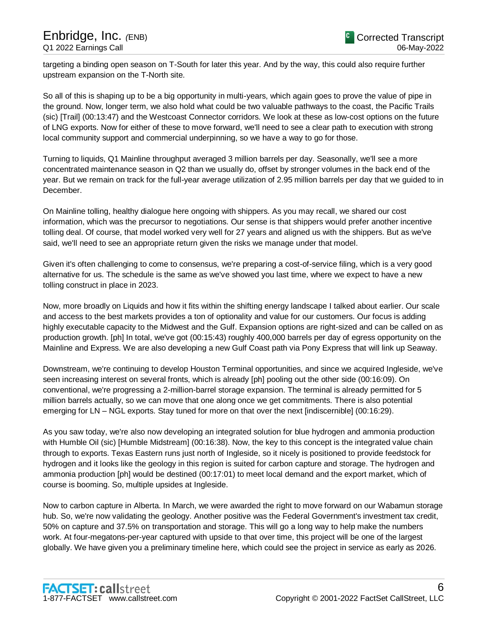targeting a binding open season on T-South for later this year. And by the way, this could also require further upstream expansion on the T-North site.

So all of this is shaping up to be a big opportunity in multi-years, which again goes to prove the value of pipe in the ground. Now, longer term, we also hold what could be two valuable pathways to the coast, the Pacific Trails (sic) [Trail] (00:13:47) and the Westcoast Connector corridors. We look at these as low-cost options on the future of LNG exports. Now for either of these to move forward, we'll need to see a clear path to execution with strong local community support and commercial underpinning, so we have a way to go for those.

Turning to liquids, Q1 Mainline throughput averaged 3 million barrels per day. Seasonally, we'll see a more concentrated maintenance season in Q2 than we usually do, offset by stronger volumes in the back end of the year. But we remain on track for the full-year average utilization of 2.95 million barrels per day that we guided to in December.

On Mainline tolling, healthy dialogue here ongoing with shippers. As you may recall, we shared our cost information, which was the precursor to negotiations. Our sense is that shippers would prefer another incentive tolling deal. Of course, that model worked very well for 27 years and aligned us with the shippers. But as we've said, we'll need to see an appropriate return given the risks we manage under that model.

Given it's often challenging to come to consensus, we're preparing a cost-of-service filing, which is a very good alternative for us. The schedule is the same as we've showed you last time, where we expect to have a new tolling construct in place in 2023.

Now, more broadly on Liquids and how it fits within the shifting energy landscape I talked about earlier. Our scale and access to the best markets provides a ton of optionality and value for our customers. Our focus is adding highly executable capacity to the Midwest and the Gulf. Expansion options are right-sized and can be called on as production grows. In total, we've got roughly 400,000 barrels per day of egress opportunity on the Mainline and Express. We are also developing a new Gulf Coast path via Pony Express that will link up Seaway.

Downstream, we're continuing to develop Houston Terminal opportunities, and since we acquired Ingleside, we've seen increasing interest on several fronts, which is already proving out the upside. On conventional, we're progressing a 2-million-barrel storage expansion. The terminal is already permitted for 5 million barrels actually, so we can move that one along once we get commitments. There is also potential emerging for LN – NGL exports. Stay tuned for more on that over the next while.

As you saw today, we're also now developing an integrated solution for blue hydrogen and ammonia production with Humble Oil (sic) [Humble Midstream] (00:16:38). Now, the key to this concept is the integrated value chain through to exports. Texas Eastern runs just north of Ingleside, so it nicely is positioned to provide feedstock for hydrogen and it looks like the geology in this region is suited for carbon capture and storage. The hydrogen and ammonia production [ph] would be destined (00:17:01) to meet local demand and the export market, which of course is booming. So, multiple upsides at Ingleside.

Now to carbon capture in Alberta. In March, we were awarded the right to move forward on our Wabamun storage hub. So, we're now validating the geology. Another positive was the Federal Government's investment tax credit, 50% on capture and 37.5% on transportation and storage. This will go a long way to help make the numbers work. At four-megatons-per-year captured with upside to that over time, this project will be one of the largest globally. We have given you a preliminary timeline here, which could see the project in service as early as 2026.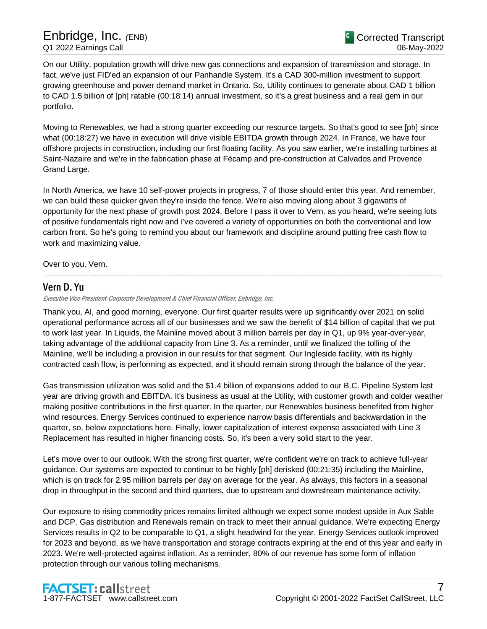On our Utility, population growth will drive new gas connections and expansion of transmission and storage. In fact, we've just FID'ed an expansion of our Panhandle System. It's a CAD 300-million investment to support growing greenhouse and power demand market in Ontario. So, Utility continues to generate about CAD 1 billion to CAD 1.5 billion of [ph] ratable (00:18:14) annual investment, so it's a great business and a real gem in our portfolio.

Moving to Renewables, we had a strong quarter exceeding our resource targets. So that's good to see [ph] since what (00:18:27) we have in execution will drive visible EBITDA growth through 2024. In France, we have four offshore projects in construction, including our first floating facility. As you saw earlier, we're installing turbines at Saint-Nazaire and we're in the fabrication phase at Fécamp and pre-construction at Calvados and Provence Grand Large.

In North America, we have 10 self-power projects in progress, 7 of those should enter this year. And remember, we can build these quicker given they're inside the fence. We're also moving along about 3 gigawatts of opportunity for the next phase of growth post 2024. Before I pass it over to Vern, as you heard, we're seeing lots of positive fundamentals right now and I've covered a variety of opportunities on both the conventional and low carbon front. So he's going to remind you about our framework and discipline around putting free cash flow to work and maximizing value.

.....................................................................................................................................................................................................................................................................

Over to you, Vern.

# Vern D. Yu

Executive Vice President-Corporate Development & Chief Financial Officer, Enbridge, Inc.

Thank you, Al, and good morning, everyone. Our first quarter results were up significantly over 2021 on solid operational performance across all of our businesses and we saw the benefit of \$14 billion of capital that we put to work last year. In Liquids, the Mainline moved about 3 million barrels per day in Q1, up 9% year-over-year, taking advantage of the additional capacity from Line 3. As a reminder, until we finalized the tolling of the Mainline, we'll be including a provision in our results for that segment. Our Ingleside facility, with its highly contracted cash flow, is performing as expected, and it should remain strong through the balance of the year.

Gas transmission utilization was solid and the \$1.4 billion of expansions added to our B.C. Pipeline System last year are driving growth and EBITDA. It's business as usual at the Utility, with customer growth and colder weather making positive contributions in the first quarter. In the quarter, our Renewables business benefited from higher wind resources. Energy Services continued to experience narrow basis differentials and backwardation in the quarter, so, below expectations here. Finally, lower capitalization of interest expense associated with Line 3 Replacement has resulted in higher financing costs. So, it's been a very solid start to the year.

Let's move over to our outlook. With the strong first quarter, we're confident we're on track to achieve full-year guidance. Our systems are expected to continue to be highly utilized including the Mainline, which is on track for 2.95 million barrels per day on average for the year. As always, this factors in a seasonal drop in throughput in the second and third quarters, due to upstream and downstream maintenance activity.

Our exposure to rising commodity prices remains limited although we expect some modest upside in Aux Sable and DCP. Gas distribution and Renewables remain on track to meet their annual guidance. We're expecting Energy Services results in Q2 to be comparable to Q1, a slight headwind for the year. Energy Services outlook improved for 2023 and beyond, as we have transportation and storage contracts expiring at the end of this year and early in 2023. We're well-protected against inflation. As a reminder, 80% of our revenue has some form of inflation protection through our various tolling mechanisms.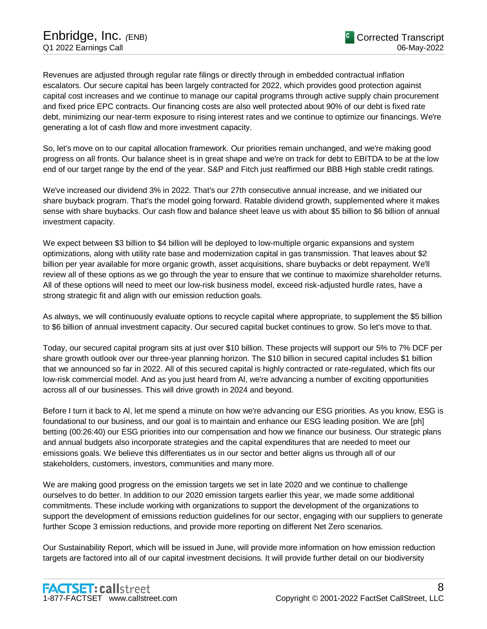Revenues are adjusted through regular rate filings or directly through embedded contractual inflation escalators. Our secured capital has been largely contracted for 2022, which provides good protection against capital cost increases and we continue to manage our capital programs through active supply chain procurement and fixed price EPC contracts. Our financing costs are also well protected about 90% of our debt is fixed rate debt, minimizing our near-term exposure to rising interest rates and we continue to optimize our financings. We're generating a lot of cash flow and more investment capacity.

So, let's move on to our capital allocation framework. Our priorities remain unchanged, and we're making good progress on all fronts. Our balance sheet is in great shape and we're on track for debt to EBITDA to be at the low end of our target range by the end of the year. S&P and Fitch just reaffirmed our BBB High stable credit ratings.

We've increased our dividend 3% in 2022. That's our 27th consecutive annual increase, and we initiated our share buyback program. That's the model going forward. Ratable dividend growth, supplemented where it makes sense with share buybacks. Our cash flow and balance sheet leave us with about \$5 billion to \$6 billion of annual investment capacity.

We expect between \$3 billion to \$4 billion will be deployed to low-multiple organic expansions and system optimizations, along with utility rate base and modernization capital in gas transmission. That leaves about \$2 billion per year available for more organic growth, asset acquisitions, share buybacks or debt repayment. We'll review all of these options as we go through the year to ensure that we continue to maximize shareholder returns. All of these options will need to meet our low-risk business model, exceed risk-adjusted hurdle rates, have a strong strategic fit and align with our emission reduction goals.

As always, we will continuously evaluate options to recycle capital where appropriate, to supplement the \$5 billion to \$6 billion of annual investment capacity. Our secured capital bucket continues to grow. So let's move to that.

Today, our secured capital program sits at just over \$10 billion. These projects will support our 5% to 7% DCF per share growth outlook over our three-year planning horizon. The \$10 billion in secured capital includes \$1 billion that we announced so far in 2022. All of this secured capital is highly contracted or rate-regulated, which fits our low-risk commercial model. And as you just heard from Al, we're advancing a number of exciting opportunities across all of our businesses. This will drive growth in 2024 and beyond.

Before I turn it back to Al, let me spend a minute on how we're advancing our ESG priorities. As you know, ESG is foundational to our business, and our goal is to maintain and enhance our ESG leading position. We are [ph] betting (00:26:40) our ESG priorities into our compensation and how we finance our business. Our strategic plans and annual budgets also incorporate strategies and the capital expenditures that are needed to meet our emissions goals. We believe this differentiates us in our sector and better aligns us through all of our stakeholders, customers, investors, communities and many more.

We are making good progress on the emission targets we set in late 2020 and we continue to challenge ourselves to do better. In addition to our 2020 emission targets earlier this year, we made some additional commitments. These include working with organizations to support the development of emissions reduction guidelines for our sector, engaging with our suppliers to generate further Scope 3 emission reductions, and provide more reporting on different Net Zero scenarios.

Our Sustainability Report, which will be issued in June, will provide more information on how emission reduction targets are factored into all of our capital investment decisions. It will provide further detail on our biodiversity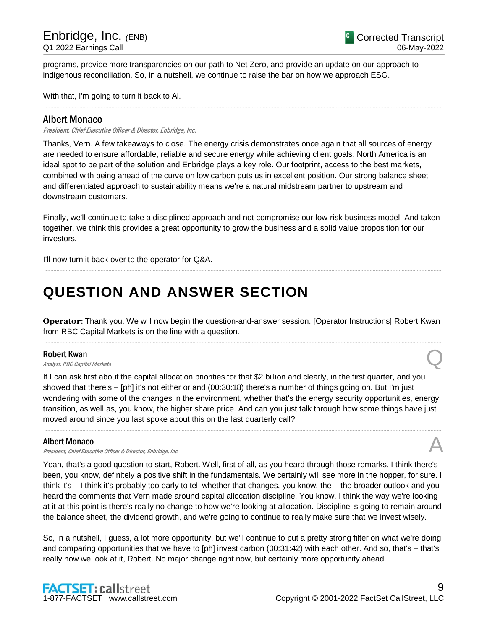programs, provide more transparencies on our path to Net Zero, and provide an update on our approach to indigenous reconciliation. So, in a nutshell, we continue to raise the bar on how we approach ESG.

With that, I'm going to turn it back to Al.

# Albert Monaco

President, Chief Executive Officer & Director, Enbridge, Inc.

Thanks, Vern. A few takeaways to close. The energy crisis demonstrates once again that all sources of energy are needed to ensure affordable, reliable and secure energy while achieving client goals. North America is an ideal spot to be part of the solution and Enbridge plays a key role. Our footprint, access to the best markets, combined with being ahead of the curve on low carbon puts us in excellent position. Our strong balance sheet and differentiated approach to sustainability means we're a natural midstream partner to upstream and downstream customers.

.....................................................................................................................................................................................................................................................................

Finally, we'll continue to take a disciplined approach and not compromise our low-risk business model. And taken together, we think this provides a great opportunity to grow the business and a solid value proposition for our investors.

.....................................................................................................................................................................................................................................................................

I'll now turn it back over to the operator for Q&A.

# **QUESTION AND ANSWER SECTION**

**Operator**: Thank you. We will now begin the question-and-answer session. [Operator Instructions] Robert Kwan from RBC Capital Markets is on the line with a question. .....................................................................................................................................................................................................................................................................

#### Robert Kwan

**Robert Kwan**<br>Analyst, RBC Capital Markets **Q** 

If I can ask first about the capital allocation priorities for that \$2 billion and clearly, in the first quarter, and you showed that there's – [ph] it's not either or and (00:30:18) there's a number of things going on. But I'm just wondering with some of the changes in the environment, whether that's the energy security opportunities, energy transition, as well as, you know, the higher share price. And can you just talk through how some things have just moved around since you last spoke about this on the last quarterly call?

.....................................................................................................................................................................................................................................................................

# Albert Monaco

President, Chief Executive Officer & Director, Enbridge, Inc.

Yeah, that's a good question to start, Robert. Well, first of all, as you heard through those remarks, I think there's been, you know, definitely a positive shift in the fundamentals. We certainly will see more in the hopper, for sure. I think it's – I think it's probably too early to tell whether that changes, you know, the – the broader outlook and you heard the comments that Vern made around capital allocation discipline. You know, I think the way we're looking at it at this point is there's really no change to how we're looking at allocation. Discipline is going to remain around the balance sheet, the dividend growth, and we're going to continue to really make sure that we invest wisely.

So, in a nutshell, I guess, a lot more opportunity, but we'll continue to put a pretty strong filter on what we're doing and comparing opportunities that we have to invest capital with each other. And so, that's – that's really how we look at it, Robert. No major change right now, but certainly more opportunity ahead.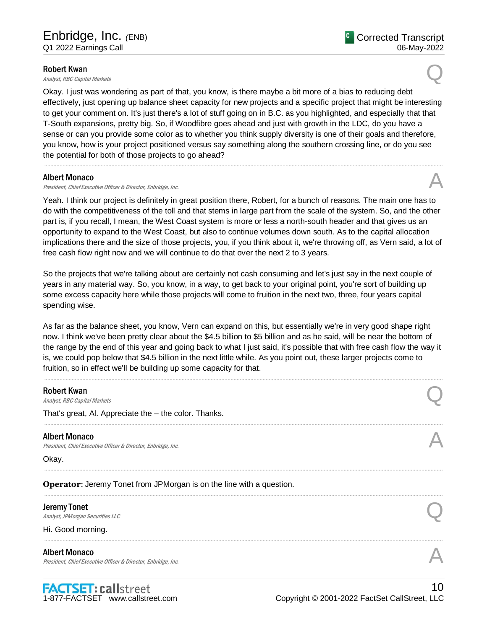#### Robert Kwan

**Robert Kwan**<br>Analyst, RBC Capital Markets **Q** 

Okay. I just was wondering as part of that, you know, is there maybe a bit more of a bias to reducing debt effectively, just opening up balance sheet capacity for new projects and a specific project that might be interesting to get your comment on. It's just there's a lot of stuff going on in B.C. as you highlighted, and especially that that T-South expansions, pretty big. So, if Woodfibre goes ahead and just with growth in the LDC, do you have a sense or can you provide some color as to whether you think supply diversity is one of their goals and therefore, you know, how is your project positioned versus say something along the southern crossing line, or do you see the potential for both of those projects to go ahead?

.....................................................................................................................................................................................................................................................................

# Albert Monaco

President, Chief Executive Officer & Director, Enbridge, Inc.

Yeah. I think our project is definitely in great position there, Robert, for a bunch of reasons. The main one has to do with the competitiveness of the toll and that stems in large part from the scale of the system. So, and the other part is, if you recall, I mean, the West Coast system is more or less a north-south header and that gives us an opportunity to expand to the West Coast, but also to continue volumes down south. As to the capital allocation implications there and the size of those projects, you, if you think about it, we're throwing off, as Vern said, a lot of free cash flow right now and we will continue to do that over the next 2 to 3 years.

So the projects that we're talking about are certainly not cash consuming and let's just say in the next couple of years in any material way. So, you know, in a way, to get back to your original point, you're sort of building up some excess capacity here while those projects will come to fruition in the next two, three, four years capital spending wise.

As far as the balance sheet, you know, Vern can expand on this, but essentially we're in very good shape right now. I think we've been pretty clear about the \$4.5 billion to \$5 billion and as he said, will be near the bottom of the range by the end of this year and going back to what I just said, it's possible that with free cash flow the way it is, we could pop below that \$4.5 billion in the next little while. As you point out, these larger projects come to fruition, so in effect we'll be building up some capacity for that.

.....................................................................................................................................................................................................................................................................

| <b>Robert Kwan</b><br>Analyst, RBC Capital Markets                                    |  |
|---------------------------------------------------------------------------------------|--|
| That's great, Al. Appreciate the - the color. Thanks.                                 |  |
| <b>Albert Monaco</b><br>President, Chief Executive Officer & Director, Enbridge, Inc. |  |
| Okay.                                                                                 |  |
| Operator: Jeremy Tonet from JPMorgan is on the line with a question.                  |  |
| <b>Jeremy Tonet</b><br>Analyst, JPM organ Securities LLC                              |  |
| Hi. Good morning.                                                                     |  |
| <b>Albert Monaco</b><br>President, Chief Executive Officer & Director, Enbridge, Inc. |  |
|                                                                                       |  |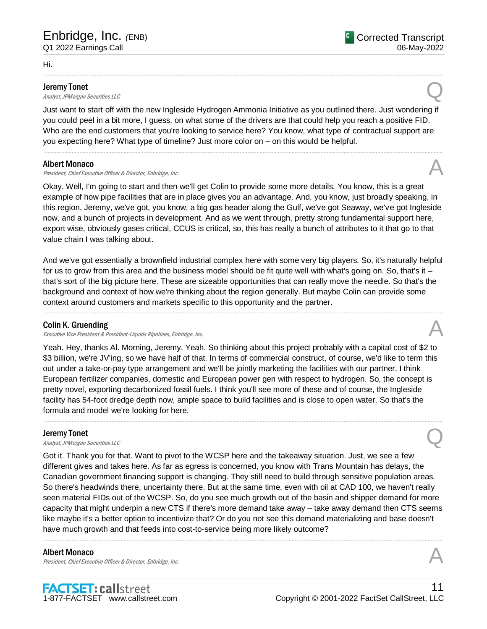Hi.

#### Jeremy Tonet

**Deremy Tonet**<br>Analyst, JPMorgan Securities LLC

Just want to start off with the new Ingleside Hydrogen Ammonia Initiative as you outlined there. Just wondering if you could peel in a bit more, I guess, on what some of the drivers are that could help you reach a positive FID. Who are the end customers that you're looking to service here? You know, what type of contractual support are you expecting here? What type of timeline? Just more color on – on this would be helpful.

.....................................................................................................................................................................................................................................................................

.....................................................................................................................................................................................................................................................................

# Albert Monaco

Albert Monaco<br>President, Chief Executive Officer & Director, Enbridge, Inc. And The Content of the State of the State of the

Okay. Well, I'm going to start and then we'll get Colin to provide some more details. You know, this is a great example of how pipe facilities that are in place gives you an advantage. And, you know, just broadly speaking, in this region, Jeremy, we've got, you know, a big gas header along the Gulf, we've got Seaway, we've got Ingleside now, and a bunch of projects in development. And as we went through, pretty strong fundamental support here, export wise, obviously gas is critical, CCUS is critical, so, this has really a bunch of attributes to it that go to that value chain I was talking about.

And we've got essentially a brownfield industrial complex here with some very big players. So, it's naturally helpful for us to grow from this area and the business model should be fit quite well with what's going on. So, that's it  $$ that's sort of the big picture here. These are sizeable opportunities that can really move the needle. So that's the background and context of how we're thinking about the region generally. But maybe Colin can provide some context around customers and markets specific to this opportunity and the partner.

.....................................................................................................................................................................................................................................................................

# Colin K. Gruending

Executive Vice President & President-Liquids Pipelines, Enbridge, Inc.

Yeah. Hey, thanks Al. Morning, Jeremy. Yeah. So thinking about this project probably with a capital cost of \$2 to \$3 billion, we're JV'ing, so we have half of that. In terms of commercial construct, of course, we'd like to term this out under a take-or-pay type arrangement and we'll be jointly marketing the facilities with our partner. I think European fertilizer companies, domestic and European power gen with respect to hydrogen. So, the concept is pretty novel, exporting decarbonized fossil fuels. I think you'll see more of these and of course, the Ingleside facility has 54-foot dredge depth now, ample space to build facilities and is close to open water. So that's the formula and model we're looking for here.

.....................................................................................................................................................................................................................................................................

#### Jeremy Tonet

**Deremy Tonet**<br>Analyst, JPMorgan Securities LLC

Got it. Thank you for that. Want to pivot to the WCSB here and the takeaway situation. Just, we see a few different gives and takes here. As far as egress is concerned, you know with Trans Mountain has delays, the Canadian government financing support is changing. They still need to build through sensitive population areas. So there's headwinds there, uncertainty there. But at the same time, even with oil at 100, we haven't really seen material FIDs out of the WCSB. So, do you see much growth out of the basin and shipper demand for more capacity that might underpin a new CTS if there's more demand take away – take away demand then CTS seems like maybe it's a better option to incentivize that? Or do you not see this demand materializing and base doesn't have much growth and that feeds into cost-to-service being more likely outcome?

.....................................................................................................................................................................................................................................................................

# Albert Monaco

Albert Monaco<br>President, Chief Executive Officer & Director, Enbridge, Inc. And The Content of the Security of the According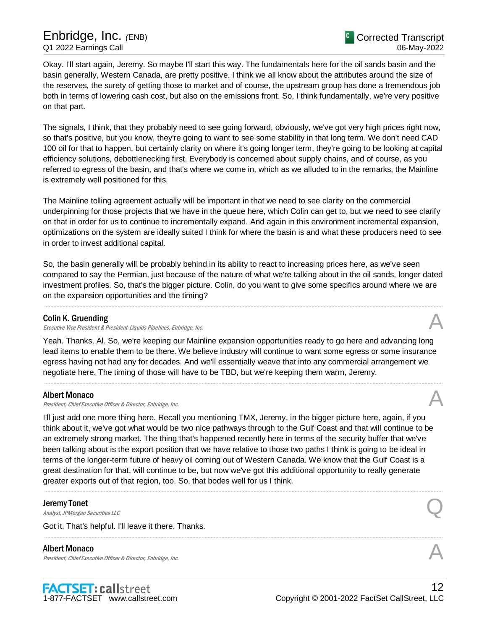Okay. I'll start again, Jeremy. So maybe I'll start this way. The fundamentals here for the oil sands basin and the basin generally, Western Canada, are pretty positive. I think we all know about the attributes around the size of the reserves, the surety of getting those to market and of course, the upstream group has done a tremendous job both in terms of lowering cash cost, but also on the emissions front. So, I think fundamentally, we're very positive on that part.

The signals, I think, that they probably need to see going forward, obviously, we've got very high prices right now, so that's positive, but you know, they're going to want to see some stability in that long term. We don't need 100 oil for that to happen, but certainly clarity on where it's going longer term, they're going to be looking at capital efficiency solutions, debottlenecking first. Everybody is concerned about supply chains, and of course, as you referred to egress of the basin, and that's where we come in, which as we alluded to in the remarks, the Mainline is extremely well positioned for this.

The Mainline tolling agreement actually will be important in that we need to see clarity on the commercial underpinning for those projects that we have in the queue here, which Colin can get to, but we need to see clarity on that in order for us to continue to incrementally expand. And again in this environment incremental expansion, optimizations on the system are ideally suited I think for where the basin is and what these producers need to see in order to invest additional capital.

So, the basin generally will be probably behind in its ability to react to increasing prices here, as we've seen compared to say the Permian, just because of the nature of what we're talking about in the oil sands, longer dated investment profiles. So, that's the bigger picture. Colin, do you want to give some specifics around where we are on the expansion opportunities and the timing?

.....................................................................................................................................................................................................................................................................

# Colin K. Gruending

Executive Vice President & President-Liquids Pipelines, Enbridge, Inc.

Yeah. Thanks, Al. So, we're keeping our Mainline expansion opportunities ready to go here and advancing long lead items to enable them to be there. We believe industry will continue to want some egress or some insurance egress having not had any for decades. And we'll essentially weave that into any commercial arrangement we negotiate here. The timing of those will have to be TBD, but we're keeping them warm, Jeremy.

#### Albert Monaco

Albert Monaco<br>President, Chief Executive Officer & Director, Enbridge, Inc. And The Content of the Security of the Alberta S

I'll just add one more thing here. Recall you mentioning TMX, Jeremy, in the bigger picture here, again, if you think about it, we've got what would be two nice pathways through to the Gulf Coast and that will continue to be an extremely strong market. The thing that's happened recently here in terms of the security buffer that we've been talking about is the export position that we have relative to those two paths I think is going to be ideal in terms of the longer-term future of heavy oil coming out of Western Canada. We know that the Gulf Coast is a great destination for that, will continue to be, but now we've got this additional opportunity to really generate greater exports out of that region, too. So, that bodes well for us I think.

.....................................................................................................................................................................................................................................................................

# Jeremy Tonet

**Deremy Tonet**<br>Analyst, JPMorgan Securities LLC

Got it. That's helpful. I'll leave it there. Thanks.

# Albert Monaco

President, Chief Executive Officer & Director, Enbridge, Inc.



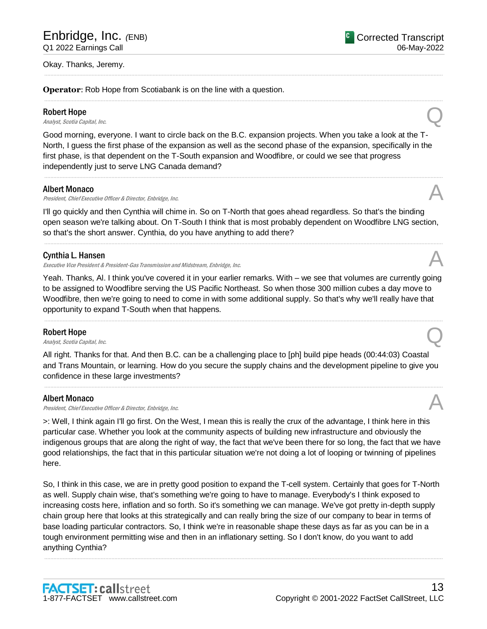#### Okay. Thanks, Jeremy.

**Operator**: Rob Hope from Scotiabank is on the line with a question.

#### Robert Hope

**Robert Hope**<br>Analyst, Scotia Capital, Inc.  $\bigotimes$ 

Good morning, everyone. I want to circle back on the B.C. expansion projects. When you take a look at the T-North, I guess the first phase of the expansion as well as the second phase of the expansion, specifically in the first phase, is that dependent on the T-South expansion and Woodfibre, or could we see that progress independently just to serve LNG Canada demand?

.....................................................................................................................................................................................................................................................................

.....................................................................................................................................................................................................................................................................

.....................................................................................................................................................................................................................................................................

#### Albert Monaco

Albert Monaco<br>President, Chief Executive Officer & Director, Enbridge, Inc. And The Content of the Security of the According

I'll go quickly and then Cynthia will chime in. So on T-North that goes ahead regardless. So that's the binding open season we're talking about. On T-South I think that is most probably dependent on Woodfibre LNG section, so that's the short answer. Cynthia, do you have anything to add there?

.....................................................................................................................................................................................................................................................................

#### Cynthia L. Hansen

Executive Vice President & President-Gas Transmission and Midstream, Enbridge, Inc.

Yeah. Thanks, Al. I think you've covered it in your earlier remarks. With – we see that volumes are currently going to be assigned to Woodfibre serving the US Pacific Northeast. So when those 300 million cubes a day move to Woodfibre, then we're going to need to come in with some additional supply. So that's why we'll really have that opportunity to expand T-South when that happens.

.....................................................................................................................................................................................................................................................................

#### Robert Hope

**Robert Hope**<br>Analyst, Scotia Capital, Inc.  $\bigotimes$ 

All right. Thanks for that. And then B.C. can be a challenging place to [ph] build pipe heads (00:44:03) Coastal and Trans Mountain, or learning. How do you secure the supply chains and the development pipeline to give you confidence in these large investments?

.....................................................................................................................................................................................................................................................................

#### Albert Monaco

Albert Monaco<br>President, Chief Executive Officer & Director, Enbridge, Inc.

>: Well, I think again I'll go first. On the West, I mean this is really the crux of the advantage, I think here in this particular case. Whether you look at the community aspects of building new infrastructure and obviously the indigenous groups that are along the right of way, the fact that we've been there for so long, the fact that we have good relationships, the fact that in this particular situation we're not doing a lot of looping or twinning of pipelines here.

So, I think in this case, we are in pretty good position to expand the T-South system. Certainly that goes for T-North as well. Supply chain wise, that's something we're going to have to manage. Everybody's I think exposed to increasing costs here, inflation and so forth. So it's something we can manage. We've got pretty in-depth supply chain group here that looks at this strategically and can really bring the size of our company to bear in terms of base loading particular contractors. So, I think we're in reasonable shape these days as far as you can be in a tough environment permitting wise and then in an inflationary setting. So I don't know, do you want to add anything Cynthia?

.....................................................................................................................................................................................................................................................................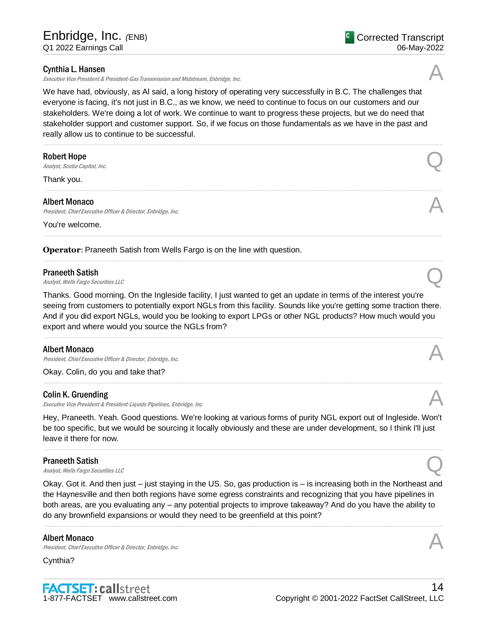# Cynthia L. Hansen

Executive Vice President & President-Gas Transmission and Midstream, Enbridge, Inc.

We have had, obviously, as Al said, a long history of operating very successfully in B.C. The challenges that everyone is facing, it's not just in B.C., as we know, we need to continue to focus on our customers and our stakeholders. We're doing a lot of work. We continue to want to progress these projects, but we do need that stakeholder support and customer support. So, if we focus on those fundamentals as we have in the past and really allow us to continue to be successful.

.....................................................................................................................................................................................................................................................................

.....................................................................................................................................................................................................................................................................

.....................................................................................................................................................................................................................................................................

.....................................................................................................................................................................................................................................................................

#### Robert Hope

**Robert Hope**<br>Analyst, Scotia Capital, Inc.  $\bigotimes$ 

Thank you.

#### Albert Monaco

Albert Monaco<br>President, Chief Executive Officer & Director, Enbridge, Inc. And The Content of the Security of the Alberta S

You're welcome.

**Operator**: Praneeth Satish from Wells Fargo is on the line with question.

#### Praneeth Satish

**Praneeth Satish**<br>Analyst, Wells Fargo Securities LLC

Thanks. Good morning. On the Ingleside facility, I just wanted to get an update in terms of the interest you're seeing from customers to potentially export NGLs from this facility. Sounds like you're getting some traction there. And if you did export NGLs, would you be looking to export LPGs or other NGL products? How much would you export and where would you source the NGLs from?

.....................................................................................................................................................................................................................................................................

.....................................................................................................................................................................................................................................................................

#### Albert Monaco

President, Chief Executive Officer & Director, Enbridge, Inc.

Okay. Colin, do you and take that?

#### Colin K. Gruending

Executive Vice President & President-Liquids Pipelines, Enbridge, Inc.

Hey, Praneeth. Yeah. Good questions. We're looking at various forms of purity NGL export out of Ingleside. Won't be too specific, but we would be sourcing it locally obviously and these are under development, so I think I'll just leave it there for now.

#### Praneeth Satish

**Praneeth Satish**<br>Analyst, Wells Fargo Securities LLC

Okay. Got it. And then just – just staying in the US. So, gas production is – is increasing both in the Northeast and the Haynesville and then both regions have some egress constraints and recognizing that you have pipelines in both areas, are you evaluating any – any potential projects to improve takeaway? And do you have the ability to do any brownfield expansions or would they need to be greenfield at this point?

.....................................................................................................................................................................................................................................................................

#### Albert Monaco

Albert Monaco<br>President, Chief Executive Officer & Director, Enbridge, Inc.

Cynthia?









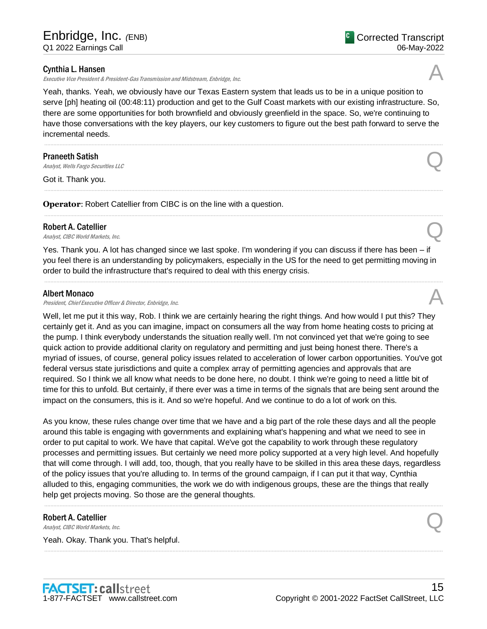### Cynthia L. Hansen

Executive Vice President & President-Gas Transmission and Midstream, Enbridge, Inc.

Yeah, thanks. Yeah, we obviously have our Texas Eastern system that leads us to be in a unique position to serve Haynesville production and get to the Gulf Coast markets with our existing infrastructure. So, there are some opportunities for both brownfield and obviously greenfield in the space. So, we're continuing to have those conversations with the key players, our key customers to figure out the best path forward to serve the incremental needs.

.....................................................................................................................................................................................................................................................................

.....................................................................................................................................................................................................................................................................

.....................................................................................................................................................................................................................................................................

#### Praneeth Satish

**Praneeth Satish**<br>Analyst, Wells Fargo Securities LLC

Got it. Thank you.

**Operator:** Robert Catellier from CIBC is on the line with a question.

# Robert A. Catellier **Robert A. Catellier**<br>Analyst, CIBC World Markets, Inc.  $\bigotimes$

Yes. Thank you. A lot has changed since we last spoke. I'm wondering if you can discuss if there has been – if you feel there is an understanding by policymakers, especially in the US for the need to get permitting moving in order to build the infrastructure that's required to deal with this energy crisis.

.....................................................................................................................................................................................................................................................................

#### Albert Monaco

President, Chief Executive Officer & Director, Enbridge, Inc.

Well, let me put it this way, Rob. I think we are certainly hearing the right things. And how would I put this? They certainly get it. And as you can imagine, impact on consumers all the way from home heating costs to pricing at the pump. I think everybody understands the situation really well. I'm not convinced yet that we're going to see quick action to provide additional clarity on regulatory and permitting and just being honest there. There's a myriad of issues, of course, general policy issues related to acceleration of lower carbon opportunities. You've got federal versus state jurisdictions and quite a complex array of permitting agencies and approvals that are required. So I think we all know what needs to be done here, no doubt. I think we're going to need a little bit of time for this to unfold. But certainly, if there ever was a time in terms of the signals that are being sent around the impact on the consumers, this is it. And so we're hopeful. And we continue to do a lot of work on this.

As you know, these rules change over time that we have and a big part of the role these days and all the people around this table is engaging with governments and explaining what's happening and what we need to see in order to put capital to work. We have that capital. We've got the capability to work through these regulatory processes and permitting issues. But certainly we need more policy supported at a very high level. And hopefully that will come through. I will add, too, though, that you really have to be skilled in this area these days, regardless of the policy issues that you're alluding to. In terms of the ground campaign, if I can put it that way, Cynthia alluded to this, engaging communities, the work we do with indigenous groups, these are the things that really help get projects moving. So those are the general thoughts.

.....................................................................................................................................................................................................................................................................

.....................................................................................................................................................................................................................................................................

# Robert A. Catellier **Robert A. Catellier**<br>Analyst, CIBC World Markets, Inc.  $Q$

Yeah. Okay. Thank you. That's helpful.



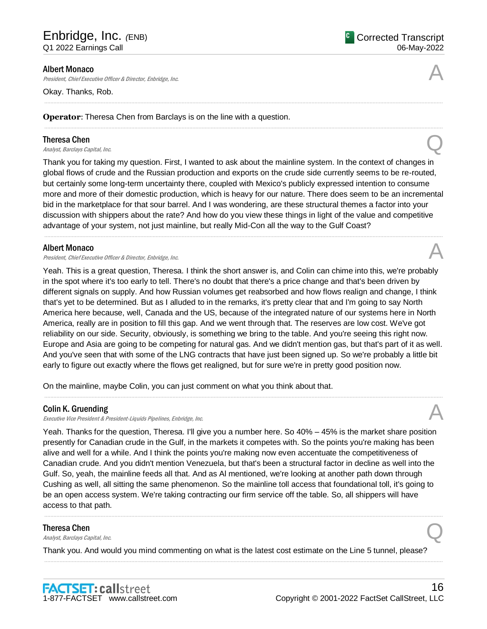<sup>C</sup> Corrected Transcript 06-May-2022

#### Albert Monaco

President, Chief Executive Officer & Director, Enbridge, Inc.

Okay. Thanks, Rob.

#### **Operator**: Theresa Chen from Barclays is on the line with a question.

#### Theresa Chen

**Theresa Chen**<br>Analyst, Barclays Capital, Inc.  $\bigotimes$ 

Thank you for taking my question. First, I wanted to ask about the mainline system. In the context of changes in global flows of crude and the Russian production and exports on the crude side currently seems to be re-routed, but certainly some long-term uncertainty there, coupled with Mexico's publicly expressed intention to consume more and more of their domestic production, which is heavy sour in nature. There does seem to be an incremental bid in the marketplace for that sour barrel. And I was wondering, are these structural themes a factor into your discussion with shippers about the rate? And how do you view these things in light of the value and competitive advantage of your system, not just mainline, but really Mid-Con all the way to the Gulf Coast?

.....................................................................................................................................................................................................................................................................

.....................................................................................................................................................................................................................................................................

.....................................................................................................................................................................................................................................................................

#### Albert Monaco

President, Chief Executive Officer & Director, Enbridge, Inc.

Yeah. This is a great question, Theresa. I think the short answer is, and Colin can chime into this, we're probably in the spot where it's too early to tell. There's no doubt that there's a price change and that's been driven by different signals on supply. And how Russian volumes get reabsorbed and how flows realign and change, I think that's yet to be determined. But as I alluded to in the remarks, it's pretty clear that and I'm going to say North America here because, well, Canada and the US, because of the integrated nature of our systems here in North America, really are in position to fill this gap. And we went through that. The reserves are low cost. We've got reliability on our side. Security, obviously, is something we bring to the table. And you're seeing this right now. Europe and Asia are going to be competing for natural gas. And we didn't mention gas, but that's part of it as well. And you've seen that with some of the LNG contracts that have just been signed up. So we're probably a little bit early to figure out exactly where the flows get realigned, but for sure we're in pretty good position now.

.....................................................................................................................................................................................................................................................................

On the mainline, maybe Colin, you can just comment on what you think about that.

#### Colin K. Gruending

Executive Vice President & President-Liquids Pipelines, Enbridge, Inc.

Yeah. Thanks for the question, Theresa. I'll give you a number here. So 40% – 45% is the market share position presently for Canadian crude in the Gulf, in the markets it competes with. So the points you're making has been alive and well for a while. And I think the points you're making now even accentuate the competitiveness of Canadian crude. And you didn't mention Venezuela, but that's been a structural factor in decline as well into the Gulf. So, yeah, the mainline feeds all that. And as Al mentioned, we're looking at another path down through Cushing as well, all sitting the same phenomenon. So the mainline toll access that foundational toll, it's going to be an open access system. We're taking contracting our firm service off the table. So, all shippers will have access to that path.

.....................................................................................................................................................................................................................................................................

.....................................................................................................................................................................................................................................................................

#### Theresa Chen

**Theresa Chen**<br>Analyst, Barclays Capital, Inc.  $\bigotimes$ 

Thank you. And would you mind commenting on what is the latest cost estimate on the Line 5 tunnel, please?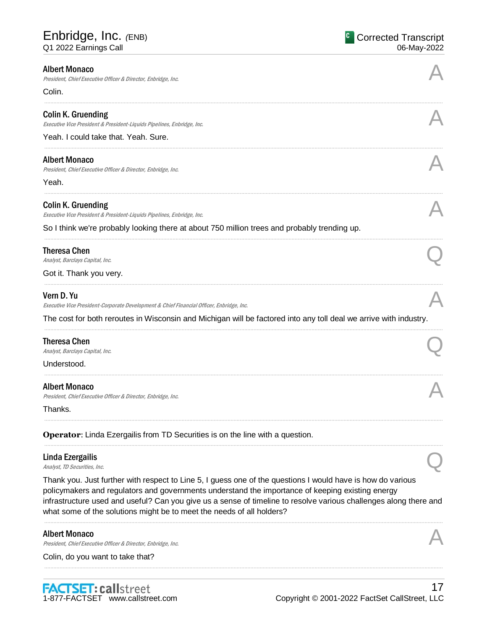| <b>Albert Monaco</b><br>President, Chief Executive Officer & Director, Enbridge, Inc.                                                                                                                                                                                                                                                                                                                         |  |
|---------------------------------------------------------------------------------------------------------------------------------------------------------------------------------------------------------------------------------------------------------------------------------------------------------------------------------------------------------------------------------------------------------------|--|
| Colin.                                                                                                                                                                                                                                                                                                                                                                                                        |  |
| <b>Colin K. Gruending</b><br>Executive Vice President & President-Liquids Pipelines, Enbridge, Inc.                                                                                                                                                                                                                                                                                                           |  |
| Yeah. I could take that. Yeah. Sure.                                                                                                                                                                                                                                                                                                                                                                          |  |
| <b>Albert Monaco</b><br>President, Chief Executive Officer & Director, Enbridge, Inc.                                                                                                                                                                                                                                                                                                                         |  |
| Yeah.                                                                                                                                                                                                                                                                                                                                                                                                         |  |
| <b>Colin K. Gruending</b><br>Executive Vice President & President-Liquids Pipelines, Enbridge, Inc.                                                                                                                                                                                                                                                                                                           |  |
| So I think we're probably looking there at about 750 million, Theresa and probably trending up.                                                                                                                                                                                                                                                                                                               |  |
| Theresa Chen<br>Analyst, Barclays Capital, Inc.                                                                                                                                                                                                                                                                                                                                                               |  |
| Got it. Thank you very.                                                                                                                                                                                                                                                                                                                                                                                       |  |
| <b>Colin K. Gruending</b><br>Executive Vice President & President-Liquids Pipelines, Enbridge, Inc.                                                                                                                                                                                                                                                                                                           |  |
| The cost for both reroutes in Wisconsin and Michigan will be factored into any toll deal we arrive with industry.                                                                                                                                                                                                                                                                                             |  |
| <b>Theresa Chen</b><br>Analyst, Barclays Capital, Inc.                                                                                                                                                                                                                                                                                                                                                        |  |
| Understood.                                                                                                                                                                                                                                                                                                                                                                                                   |  |
| <b>Albert Monaco</b><br>President, Chief Executive Officer & Director, Enbridge, Inc.                                                                                                                                                                                                                                                                                                                         |  |
| Thanks.<br><b>Operator:</b> Linda Ezergailis from TD Securities is on the line with a question.                                                                                                                                                                                                                                                                                                               |  |
| Linda Ezergailis<br>Analyst, TD Securities, Inc.                                                                                                                                                                                                                                                                                                                                                              |  |
| Thank you. Just further with respect to Line 5, I guess one of the questions I would have is how do various<br>policymakers and regulators and governments understand the importance of keeping existing energy<br>infrastructure used and useful? Can you give us a sense of timeline to resolve various challenges along there and<br>what some of the solutions might be to meet the needs of all holders? |  |
| <b>Albert Monaco</b>                                                                                                                                                                                                                                                                                                                                                                                          |  |

.....................................................................................................................................................................................................................................................................

AIDELL INIOHACO<br>President, Chief Executive Officer & Director, Enbridge, Inc. And Alta and Alta and Alta and Alta and Alta and

Colin, do you want to take that?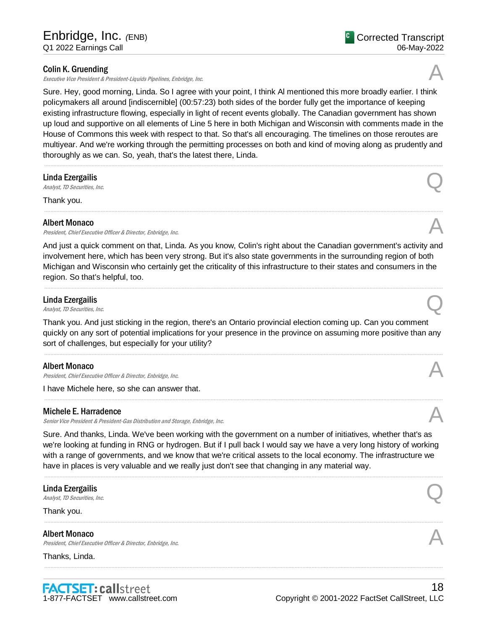# Colin K. Gruending

Executive Vice President & President-Liquids Pipelines, Enbridge, Inc.

Sure. Hey, good morning, Linda. So I agree with your point, I think Al mentioned this more broadly earlier. I think policymakers all around [indiscernible] (00:57:23) both sides of the border fully get the importance of keeping existing infrastructure flowing, especially in light of recent events globally. The Canadian government has shown up loud and supportive on all elements of Line 5 here in both Michigan and Wisconsin with comments made in the House of Commons this week with respect to that. So that's all encouraging. The timelines on those reroutes are multiyear. And we're working through the permitting processes on both and kind of moving along as prudently and thoroughly as we can. So, yeah, that's the latest there, Linda.

.....................................................................................................................................................................................................................................................................

.....................................................................................................................................................................................................................................................................

# Linda Ezergailis **Linda Ezergailis**<br>Analyst, TD Securities, Inc.  $\bigotimes$

Thank you.

#### Albert Monaco

President, Chief Executive Officer & Director, Enbridge, Inc.

And just a quick comment on that, Linda. As you know, Colin's right about the Canadian government's activity and involvement here, which has been very strong. But it's also state governments in the surrounding region of both Michigan and Wisconsin who certainly get the criticality of this infrastructure to their states and consumers in the region. So that's helpful, too.

.....................................................................................................................................................................................................................................................................

# Linda Ezergailis **Linda Ezergailis**<br>Analyst, TD Securities, Inc.  $\bigotimes$

Thank you. And just sticking in the region, there's an Ontario provincial election coming up. Can you comment quickly on any sort of potential implications for your presence in the province on assuming more positive than any sort of challenges, but especially for your utility?

#### Albert Monaco

Albert Monaco<br>President, Chief Executive Officer & Director, Enbridge, Inc. And The Content of the Security of the According

I have Michele here, so she can answer that.

#### Michele E. Harradence

Senior Vice President & President-Gas Distribution and Storage, Enbridge, Inc.

Sure. And thanks, Linda. We've been working with the government on a number of initiatives, whether that's as we're looking at funding in RNG or hydrogen. But if I pull back I would say we have a very long history of working with a range of governments, and we know that we're critical assets to the local economy. The infrastructure we have in places is very valuable and we really just don't see that changing in any material way.

.....................................................................................................................................................................................................................................................................

.....................................................................................................................................................................................................................................................................

.....................................................................................................................................................................................................................................................................

# Linda Ezergailis **Linda Ezergailis**<br>Analyst, TD Securities, Inc.  $\bigotimes$

Thank you.

#### Albert Monaco

President, Chief Executive Officer & Director, Enbridge, Inc.

Thanks, Linda.







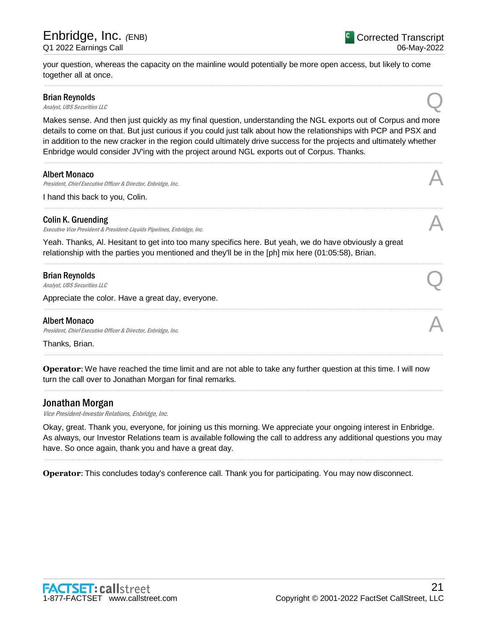your question, whereas the capacity on the mainline would potentially be more open access, but likely to come together all at once.

.....................................................................................................................................................................................................................................................................

# Brian Reynolds

Brian Reynolds<br>
Analyst, UBS Securities LLC

Makes sense. And then just quickly as my final question, understanding the NGL exports out of Corpus and more details to come on that. But just curious if you could just talk about how the relationships with 'CP and PSX and in addition to the new cracker in the region could ultimately drive success for the projects and ultimately whether Enbridge would consider JV'ing with the project around NGL exports out of Corpus. Thanks.

.....................................................................................................................................................................................................................................................................

.....................................................................................................................................................................................................................................................................

.....................................................................................................................................................................................................................................................................

.....................................................................................................................................................................................................................................................................

.....................................................................................................................................................................................................................................................................

.....................................................................................................................................................................................................................................................................

#### Albert Monaco

President, Chief Executive Officer & Director, Enbridge, Inc.

I hand this back to you, Colin.

# Colin K. Gruending

Executive Vice President & President-Liquids Pipelines, Enbridge, Inc. A

Yeah. Thanks, Al. Hesitant to get into too many specifics here. But yeah, we do have obviously a great relationship with the parties you mentioned and they'll be in the [ph] mix here (01:05:58), Brian.

#### Brian Reynolds

Brian Reynolds<br>
Analyst, UBS Securities LLC

Appreciate the color. Have a great day, everyone.

# Albert Monaco

Albert Monaco<br>President, Chief Executive Officer & Director, Enbridge, Inc. And The Content of the Security of the Alberta S

Thanks, Brian.

**Operator**: We have reached the time limit and are not able to take any further question at this time. I will now turn the call over to Jonathan Morgan for final remarks.

# Jonathan Morgan

Vice President-Investor Relations, Enbridge, Inc.

Okay, great. Thank you, everyone, for joining us this morning. We appreciate your ongoing interest in Enbridge. As always, our Investor Relations team is available following the call to address any additional questions you may have. So once again, thank you and have a great day.

.....................................................................................................................................................................................................................................................................

**Operator**: This concludes today's conference call. Thank you for participating. You may now disconnect.